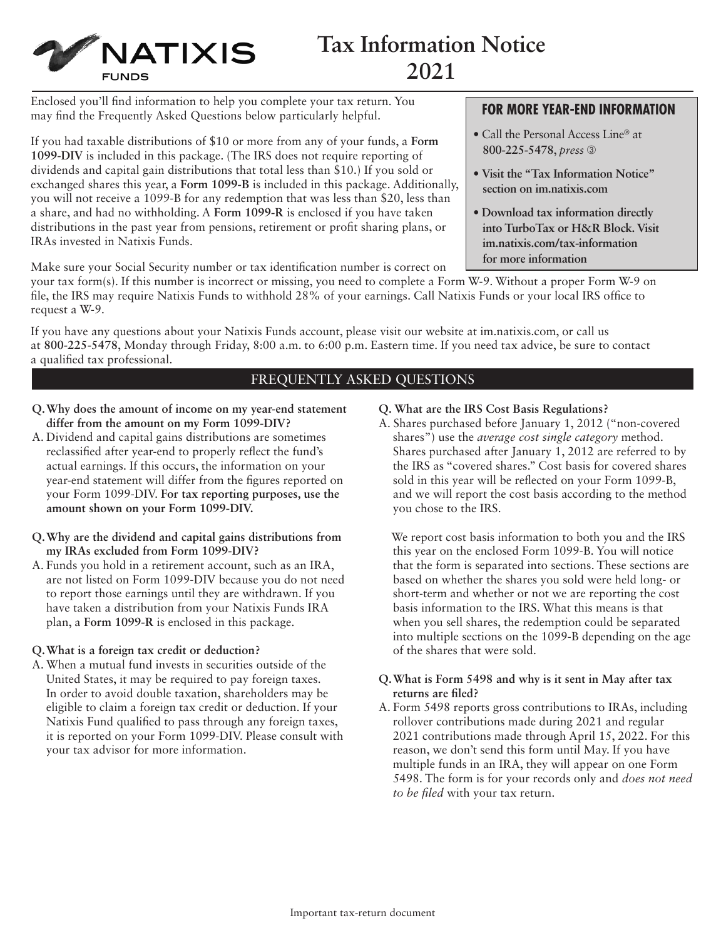

# **Tax Information Notice 2021**

Enclosed you'll find information to help you complete your tax return. You may find the Frequently Asked Questions below particularly helpful.

If you had taxable distributions of \$10 or more from any of your funds, a **Form 1099-DIV** is included in this package. (The IRS does not require reporting of dividends and capital gain distributions that total less than \$10.) If you sold or exchanged shares this year, a **Form 1099-B** is included in this package. Additionally, you will not receive a 1099-B for any redemption that was less than \$20, less than a share, and had no withholding. A **Form 1099-R** is enclosed if you have taken distributions in the past year from pensions, retirement or profit sharing plans, or IRAs invested in Natixis Funds.

Make sure your Social Security number or tax identification number is correct on

your tax form(s). If this number is incorrect or missing, you need to complete a Form W-9. Without a proper Form W-9 on file, the IRS may require Natixis Funds to withhold 28% of your earnings. Call Natixis Funds or your local IRS office to request a W-9.

If you have any questions about your Natixis Funds account, please visit our website at [im.natixis.com](http://im.natixis.com), or call us at **800-225-5478**, Monday through Friday, 8:00 a.m. to 6:00 p.m. Eastern time. If you need tax advice, be sure to contact a qualified tax professional.

# FREQUENTLY ASKED QUESTIONS

- **Q. Why does the amount of income on my year-end statement differ from the amount on my Form 1099-DIV?**
- A. Dividend and capital gains distributions are sometimes reclassified after year-end to properly reflect the fund's actual earnings. If this occurs, the information on your year-end statement will differ from the figures reported on your Form 1099-DIV. **For tax reporting purposes, use the amount shown on your Form 1099-DIV.**
- **Q. Why are the dividend and capital gains distributions from my IRAs excluded from Form 1099-DIV?**
- A. Funds you hold in a retirement account, such as an IRA, are not listed on Form 1099-DIV because you do not need to report those earnings until they are withdrawn. If you have taken a distribution from your Natixis Funds IRA plan, a **Form 1099-R** is enclosed in this package.

### **Q. What is a foreign tax credit or deduction?**

A. When a mutual fund invests in securities outside of the United States, it may be required to pay foreign taxes. In order to avoid double taxation, shareholders may be eligible to claim a foreign tax credit or deduction. If your Natixis Fund qualified to pass through any foreign taxes, it is reported on your Form 1099-DIV. Please consult with your tax advisor for more information.

- **Q. What are the IRS Cost Basis Regulations?**
- A. Shares purchased before January 1, 2012 ("non-covered shares") use the *average cost single category* method. Shares purchased after January 1, 2012 are referred to by the IRS as "covered shares." Cost basis for covered shares sold in this year will be reflected on your Form 1099-B, and we will report the cost basis according to the method you chose to the IRS.

 We report cost basis information to both you and the IRS this year on the enclosed Form 1099-B. You will notice that the form is separated into sections. These sections are based on whether the shares you sold were held long- or short-term and whether or not we are reporting the cost basis information to the IRS. What this means is that when you sell shares, the redemption could be separated into multiple sections on the 1099-B depending on the age of the shares that were sold.

### **Q. What is Form 5498 and why is it sent in May after tax returns are filed?**

A. Form 5498 reports gross contributions to IRAs, including rollover contributions made during 2021 and regular 2021 contributions made through April 15, 2022. For this reason, we don't send this form until May. If you have multiple funds in an IRA, they will appear on one Form 5498. The form is for your records only and *does not need to be filed* with your tax return.

**800-225-5478**, *press* ➂

**FOR MORE YEAR-END INFORMATION** 

- **Visit the "Tax Information Notice" section on [im.natixis.com](http://im.natixis.com)**
- **Download tax information directly into TurboTax or H&R Block. Visit [im.natixis.com/tax-information](http://im.natixis.com/tax-information) for more information**